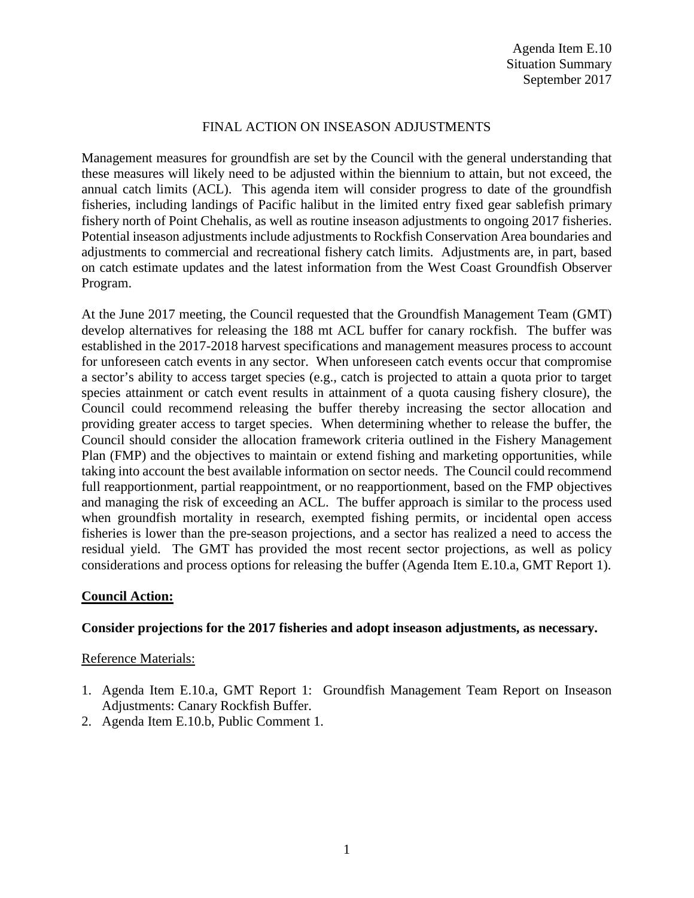# FINAL ACTION ON INSEASON ADJUSTMENTS

Management measures for groundfish are set by the Council with the general understanding that these measures will likely need to be adjusted within the biennium to attain, but not exceed, the annual catch limits (ACL). This agenda item will consider progress to date of the groundfish fisheries, including landings of Pacific halibut in the limited entry fixed gear sablefish primary fishery north of Point Chehalis, as well as routine inseason adjustments to ongoing 2017 fisheries. Potential inseason adjustments include adjustments to Rockfish Conservation Area boundaries and adjustments to commercial and recreational fishery catch limits. Adjustments are, in part, based on catch estimate updates and the latest information from the West Coast Groundfish Observer Program.

At the June 2017 meeting, the Council requested that the Groundfish Management Team (GMT) develop alternatives for releasing the 188 mt ACL buffer for canary rockfish. The buffer was established in the 2017-2018 harvest specifications and management measures process to account for unforeseen catch events in any sector. When unforeseen catch events occur that compromise a sector's ability to access target species (e.g., catch is projected to attain a quota prior to target species attainment or catch event results in attainment of a quota causing fishery closure), the Council could recommend releasing the buffer thereby increasing the sector allocation and providing greater access to target species. When determining whether to release the buffer, the Council should consider the allocation framework criteria outlined in the Fishery Management Plan (FMP) and the objectives to maintain or extend fishing and marketing opportunities, while taking into account the best available information on sector needs. The Council could recommend full reapportionment, partial reappointment, or no reapportionment, based on the FMP objectives and managing the risk of exceeding an ACL. The buffer approach is similar to the process used when groundfish mortality in research, exempted fishing permits, or incidental open access fisheries is lower than the pre-season projections, and a sector has realized a need to access the residual yield. The GMT has provided the most recent sector projections, as well as policy considerations and process options for releasing the buffer (Agenda Item E.10.a, GMT Report 1).

# **Council Action:**

### **Consider projections for the 2017 fisheries and adopt inseason adjustments, as necessary.**

### Reference Materials:

- 1. Agenda Item E.10.a, GMT Report 1: Groundfish Management Team Report on Inseason Adjustments: Canary Rockfish Buffer.
- 2. Agenda Item E.10.b, Public Comment 1.